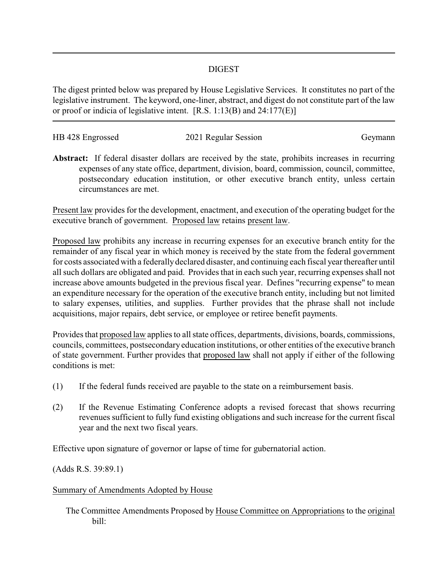## DIGEST

The digest printed below was prepared by House Legislative Services. It constitutes no part of the legislative instrument. The keyword, one-liner, abstract, and digest do not constitute part of the law or proof or indicia of legislative intent. [R.S. 1:13(B) and 24:177(E)]

| HB 428 Engrossed | 2021 Regular Session | Gevmann |
|------------------|----------------------|---------|
|                  |                      |         |

**Abstract:** If federal disaster dollars are received by the state, prohibits increases in recurring expenses of any state office, department, division, board, commission, council, committee, postsecondary education institution, or other executive branch entity, unless certain circumstances are met.

Present law provides for the development, enactment, and execution of the operating budget for the executive branch of government. Proposed law retains present law.

Proposed law prohibits any increase in recurring expenses for an executive branch entity for the remainder of any fiscal year in which money is received by the state from the federal government for costs associated with a federally declared disaster, and continuing each fiscal year thereafter until all such dollars are obligated and paid. Provides that in each such year, recurring expenses shall not increase above amounts budgeted in the previous fiscal year. Defines "recurring expense" to mean an expenditure necessary for the operation of the executive branch entity, including but not limited to salary expenses, utilities, and supplies. Further provides that the phrase shall not include acquisitions, major repairs, debt service, or employee or retiree benefit payments.

Provides that proposed law applies to all state offices, departments, divisions, boards, commissions, councils, committees, postsecondary education institutions, or other entities of the executive branch of state government. Further provides that proposed law shall not apply if either of the following conditions is met:

- (1) If the federal funds received are payable to the state on a reimbursement basis.
- (2) If the Revenue Estimating Conference adopts a revised forecast that shows recurring revenues sufficient to fully fund existing obligations and such increase for the current fiscal year and the next two fiscal years.

Effective upon signature of governor or lapse of time for gubernatorial action.

(Adds R.S. 39:89.1)

## Summary of Amendments Adopted by House

The Committee Amendments Proposed by House Committee on Appropriations to the original bill: